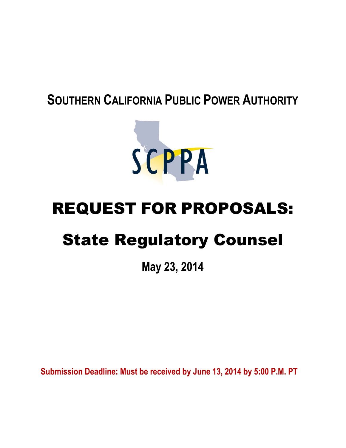# **SOUTHERN CALIFORNIA PUBLIC POWER AUTHORITY**



# REQUEST FOR PROPOSALS:

# State Regulatory Counsel

**May 23, 2014**

**Submission Deadline: Must be received by June 13, 2014 by 5:00 P.M. PT**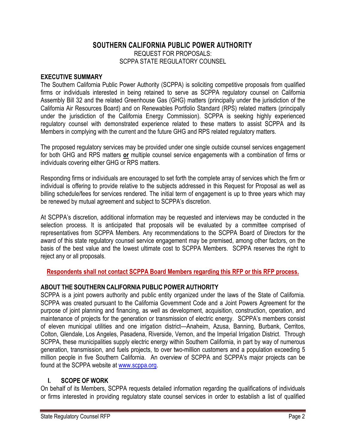# **SOUTHERN CALIFORNIA PUBLIC POWER AUTHORITY** REQUEST FOR PROPOSALS: SCPPA STATE REGULATORY COUNSEL

#### **EXECUTIVE SUMMARY**

The Southern California Public Power Authority (SCPPA) is soliciting competitive proposals from qualified firms or individuals interested in being retained to serve as SCPPA regulatory counsel on California Assembly Bill 32 and the related Greenhouse Gas (GHG) matters (principally under the jurisdiction of the California Air Resources Board) and on Renewables Portfolio Standard (RPS) related matters (principally under the jurisdiction of the California Energy Commission). SCPPA is seeking highly experienced regulatory counsel with demonstrated experience related to these matters to assist SCPPA and its Members in complying with the current and the future GHG and RPS related regulatory matters.

The proposed regulatory services may be provided under one single outside counsel services engagement for both GHG and RPS matters **or** multiple counsel service engagements with a combination of firms or individuals covering either GHG or RPS matters.

Responding firms or individuals are encouraged to set forth the complete array of services which the firm or individual is offering to provide relative to the subjects addressed in this Request for Proposal as well as billing schedule/fees for services rendered. The initial term of engagement is up to three years which may be renewed by mutual agreement and subject to SCPPA's discretion.

At SCPPA's discretion, additional information may be requested and interviews may be conducted in the selection process. It is anticipated that proposals will be evaluated by a committee comprised of representatives from SCPPA Members. Any recommendations to the SCPPA Board of Directors for the award of this state regulatory counsel service engagement may be premised, among other factors, on the basis of the best value and the lowest ultimate cost to SCPPA Members. SCPPA reserves the right to reject any or all proposals.

**Respondents shall not contact SCPPA Board Members regarding this RFP or this RFP process.**

# **ABOUT THE SOUTHERN CALIFORNIA PUBLIC POWER AUTHORITY**

SCPPA is a joint powers authority and public entity organized under the laws of the State of California. SCPPA was created pursuant to the California Government Code and a Joint Powers Agreement for the purpose of joint planning and financing, as well as development, acquisition, construction, operation, and maintenance of projects for the generation or transmission of electric energy. SCPPA's members consist of eleven municipal utilities and one irrigation district—Anaheim, Azusa, Banning, Burbank, Cerritos, Colton, Glendale, Los Angeles, Pasadena, Riverside, Vernon, and the Imperial Irrigation District. Through SCPPA, these municipalities supply electric energy within Southern California, in part by way of numerous generation, transmission, and fuels projects, to over two-million customers and a population exceeding 5 million people in five Southern California. An overview of SCPPA and SCPPA's major projects can be found at the SCPPA website at [www.scppa.org](http://www.scppa.org/).

#### **I. SCOPE OF WORK**

On behalf of its Members, SCPPA requests detailed information regarding the qualifications of individuals or firms interested in providing regulatory state counsel services in order to establish a list of qualified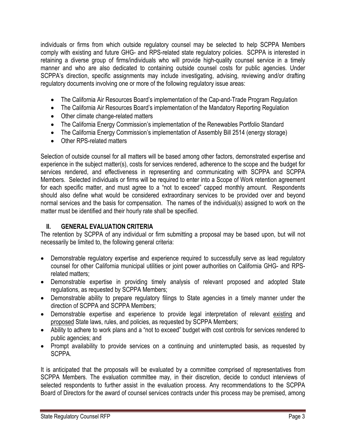individuals or firms from which outside regulatory counsel may be selected to help SCPPA Members comply with existing and future GHG- and RPS-related state regulatory policies. SCPPA is interested in retaining a diverse group of firms/individuals who will provide high-quality counsel service in a timely manner and who are also dedicated to containing outside counsel costs for public agencies. Under SCPPA's direction, specific assignments may include investigating, advising, reviewing and/or drafting regulatory documents involving one or more of the following regulatory issue areas:

- The California Air Resources Board's implementation of the Cap-and-Trade Program Regulation
- The California Air Resources Board's implementation of the Mandatory Reporting Regulation
- Other climate change-related matters
- The California Energy Commission's implementation of the Renewables Portfolio Standard
- The California Energy Commission's implementation of Assembly Bill 2514 (energy storage)
- Other RPS-related matters

Selection of outside counsel for all matters will be based among other factors, demonstrated expertise and experience in the subject matter(s), costs for services rendered, adherence to the scope and the budget for services rendered, and effectiveness in representing and communicating with SCPPA and SCPPA Members. Selected individuals or firms will be required to enter into a Scope of Work retention agreement for each specific matter, and must agree to a "not to exceed" capped monthly amount. Respondents should also define what would be considered extraordinary services to be provided over and beyond normal services and the basis for compensation. The names of the individual(s) assigned to work on the matter must be identified and their hourly rate shall be specified.

# **II. GENERAL EVALUATION CRITERIA**

The retention by SCPPA of any individual or firm submitting a proposal may be based upon, but will not necessarily be limited to, the following general criteria:

- Demonstrable regulatory expertise and experience required to successfully serve as lead regulatory counsel for other California municipal utilities or joint power authorities on California GHG- and RPSrelated matters;
- Demonstrable expertise in providing timely analysis of relevant proposed and adopted State regulations, as requested by SCPPA Members;
- Demonstrable ability to prepare regulatory filings to State agencies in a timely manner under the direction of SCPPA and SCPPA Members;
- Demonstrable expertise and experience to provide legal interpretation of relevant existing and proposed State laws, rules, and policies, as requested by SCPPA Members;
- Ability to adhere to work plans and a "not to exceed" budget with cost controls for services rendered to public agencies; and
- Prompt availability to provide services on a continuing and uninterrupted basis, as requested by SCPPA.

It is anticipated that the proposals will be evaluated by a committee comprised of representatives from SCPPA Members. The evaluation committee may, in their discretion, decide to conduct interviews of selected respondents to further assist in the evaluation process. Any recommendations to the SCPPA Board of Directors for the award of counsel services contracts under this process may be premised, among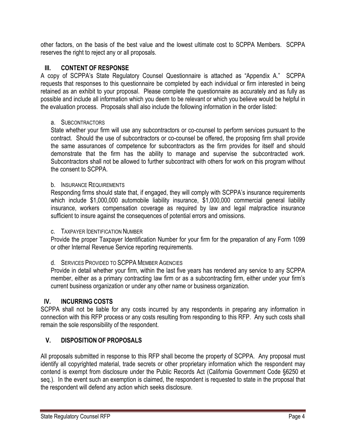other factors, on the basis of the best value and the lowest ultimate cost to SCPPA Members. SCPPA reserves the right to reject any or all proposals.

#### **III. CONTENT OF RESPONSE**

A copy of SCPPA's State Regulatory Counsel Questionnaire is attached as "Appendix A." SCPPA requests that responses to this questionnaire be completed by each individual or firm interested in being retained as an exhibit to your proposal. Please complete the questionnaire as accurately and as fully as possible and include all information which you deem to be relevant or which you believe would be helpful in the evaluation process. Proposals shall also include the following information in the order listed:

#### a. SUBCONTRACTORS

State whether your firm will use any subcontractors or co-counsel to perform services pursuant to the contract. Should the use of subcontractors or co-counsel be offered, the proposing firm shall provide the same assurances of competence for subcontractors as the firm provides for itself and should demonstrate that the firm has the ability to manage and supervise the subcontracted work. Subcontractors shall not be allowed to further subcontract with others for work on this program without the consent to SCPPA.

#### b. INSURANCE REQUIREMENTS

Responding firms should state that, if engaged, they will comply with SCPPA's insurance requirements which include \$1,000,000 automobile liability insurance, \$1,000,000 commercial general liability insurance, workers compensation coverage as required by law and legal malpractice insurance sufficient to insure against the consequences of potential errors and omissions.

#### c. TAXPAYER IDENTIFICATION NUMBER

Provide the proper Taxpayer Identification Number for your firm for the preparation of any Form 1099 or other Internal Revenue Service reporting requirements.

#### d. SERVICES PROVIDED TO SCPPA MEMBER AGENCIES

Provide in detail whether your firm, within the last five years has rendered any service to any SCPPA member, either as a primary contracting law firm or as a subcontracting firm, either under your firm's current business organization or under any other name or business organization.

# **IV. INCURRING COSTS**

SCPPA shall not be liable for any costs incurred by any respondents in preparing any information in connection with this RFP process or any costs resulting from responding to this RFP. Any such costs shall remain the sole responsibility of the respondent.

# **V. DISPOSITION OF PROPOSALS**

All proposals submitted in response to this RFP shall become the property of SCPPA. Any proposal must identify all copyrighted material, trade secrets or other proprietary information which the respondent may contend is exempt from disclosure under the Public Records Act (California Government Code §6250 et seq.). In the event such an exemption is claimed, the respondent is requested to state in the proposal that the respondent will defend any action which seeks disclosure.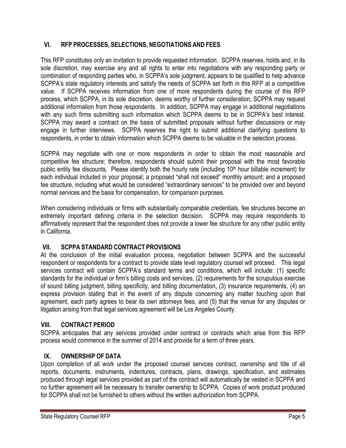# **VI. RFP PROCESSES, SELECTIONS, NEGOTIATIONS AND FEES**

This RFP constitutes only an invitation to provide requested information. SCPPA reserves, holds and, in its sole discretion, may exercise any and all rights to enter into negotiations with any responding party or combination of responding parties who, in SCPPA's sole judgment, appears to be qualified to help advance SCPPA's state regulatory interests and satisfy the needs of SCPPA set forth in this RFP at a competitive value. If SCPPA receives information from one of more respondents during the course of this RFP process, which SCPPA, in its sole discretion, deems worthy of further consideration, SCPPA may request additional information from those respondents. In addition, SCPPA may engage in additional negotiations with any such firms submitting such information which SCPPA deems to be in SCPPA's best interest. SCPPA may award a contract on the basis of submitted proposals without further discussions or may engage in further interviews. SCPPA reserves the right to submit additional clarifying questions to respondents, in order to obtain information which SCPPA deems to be valuable in the selection process.

SCPPA may negotiate with one or more respondents in order to obtain the most reasonable and competitive fee structure; therefore, respondents should submit their proposal with the most favorable public entity fee discounts. Please identify both the hourly rate (including 10<sup>th</sup> hour billable increment) for each individual included in your proposal; a proposed "shall not exceed" monthly amount; and a proposed fee structure, including what would be considered "extraordinary services" to be provided over and beyond normal services and the basis for compensation, for comparison purposes.

When considering individuals or firms with substantially comparable credentials, fee structures become an extremely important defining criteria in the selection decision. SCPPA may require respondents to affirmatively represent that the respondent does not provide a lower fee structure for any other public entity in California.

# **VII. SCPPA STANDARD CONTRACT PROVISIONS**

At the conclusion of the initial evaluation process, negotiation between SCPPA and the successful respondent or respondents for a contract to provide state level regulatory counsel will proceed. This legal services contract will contain SCPPA's standard terms and conditions, which will include: (1) specific standards for the individual or firm's billing costs and services, (2) requirements for the scrupulous exercise of sound billing judgment, billing specificity, and billing documentation, (3) insurance requirements, (4) an express provision stating that in the event of any dispute concerning any matter touching upon that agreement, each party agrees to bear its own attorneys fees, and (5) that the venue for any disputes or litigation arising from that legal services agreement will be Los Angeles County.

# **VIII. CONTRACT PERIOD**

SCPPA anticipates that any services provided under contract or contracts which arise from this RFP process would commence in the summer of 2014 and provide for a term of three years.

# **IX. OWNERSHIP OF DATA**

Upon completion of all work under the proposed counsel services contract, ownership and title of all reports, documents, instruments, indentures, contracts, plans, drawings, specification, and estimates produced through legal services provided as part of the contract will automatically be vested in SCPPA and no further agreement will be necessary to transfer ownership to SCPPA. Copies of work product produced for SCPPA shall not be furnished to others without the written authorization from SCPPA.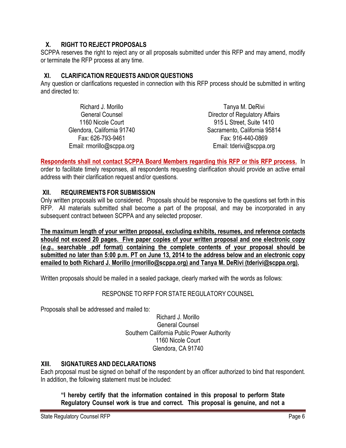#### **X. RIGHT TO REJECT PROPOSALS**

SCPPA reserves the right to reject any or all proposals submitted under this RFP and may amend, modify or terminate the RFP process at any time.

#### **XI. CLARIFICATION REQUESTS AND/OR QUESTIONS**

Any question or clarifications requested in connection with this RFP process should be submitted in writing and directed to:

| Richard J. Morillo         | Tanya M. DeRivi                |
|----------------------------|--------------------------------|
| <b>General Counsel</b>     | Director of Regulatory Affairs |
| 1160 Nicole Court          | 915 L Street, Suite 1410       |
| Glendora, California 91740 | Sacramento, California 95814   |
| Fax: 626-793-9461          | Fax: 916-440-0869              |
| Email: rmorillo@scppa.org  | Email: tderivi@scppa.org       |

**Respondents shall not contact SCPPA Board Members regarding this RFP or this RFP process.** In order to facilitate timely responses, all respondents requesting clarification should provide an active email address with their clarification request and/or questions.

#### **XII. REQUIREMENTS FOR SUBMISSION**

Only written proposals will be considered. Proposals should be responsive to the questions set forth in this RFP. All materials submitted shall become a part of the proposal, and may be incorporated in any subsequent contract between SCPPA and any selected proposer.

**The maximum length of your written proposal, excluding exhibits, resumes, and reference contacts should not exceed 20 pages. Five paper copies of your written proposal and one electronic copy (***e.g.***, searchable .pdf format) containing the complete contents of your proposal should be submitted no later than 5:00 p.m. PT on June 13, 2014 to the address below and an electronic copy emailed to both Richard J. Morillo (rmorillo@scppa.org) and Tanya M. DeRivi (tderivi@scppa.org).**

Written proposals should be mailed in a sealed package, clearly marked with the words as follows:

# RESPONSE TO RFP FOR STATE REGULATORY COUNSEL

Proposals shall be addressed and mailed to:

Richard J. Morillo General Counsel Southern California Public Power Authority 1160 Nicole Court Glendora, CA 91740

# **XIII. SIGNATURES AND DECLARATIONS**

Each proposal must be signed on behalf of the respondent by an officer authorized to bind that respondent. In addition, the following statement must be included:

**"I hereby certify that the information contained in this proposal to perform State Regulatory Counsel work is true and correct. This proposal is genuine, and not a**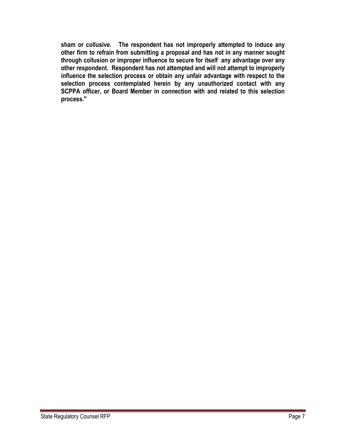**sham or collusive. The respondent has not improperly attempted to induce any other firm to refrain from submitting a proposal and has not in any manner sought through collusion or improper influence to secure for itself any advantage over any other respondent. Respondent has not attempted and will not attempt to improperly influence the selection process or obtain any unfair advantage with respect to the selection process contemplated herein by any unauthorized contact with any SCPPA officer, or Board Member in connection with and related to this selection process."**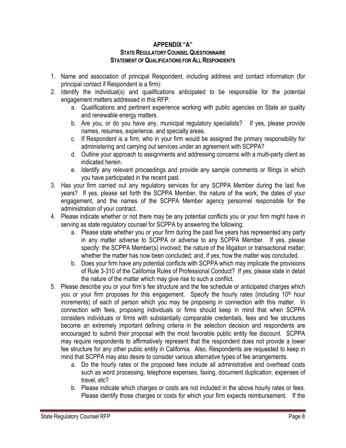#### **APPENDIX "A" STATEREGULATORYCOUNSELQUESTIONNAIRE STATEMENT OFQUALIFICATIONS FOR ALLRESPONDENTS**

- 1. Name and association of principal Respondent, including address and contact information (for principal contact if Respondent is a firm):
- 2. Identify the individual(s) and qualifications anticipated to be responsible for the potential engagement matters addressed in this RFP:
	- a. Qualifications and pertinent experience working with public agencies on State air quality and renewable energy matters.
	- b. Are you, or do you have any, municipal regulatory specialists? If yes, please provide names, resumes, experience, and specialty areas.
	- c. If Respondent is a firm, who in your firm would be assigned the primary responsibility for administering and carrying out services under an agreement with SCPPA?
	- d. Outline your approach to assignments and addressing concerns with a multi-party client as indicated herein.
	- e. Identify any relevant proceedings and provide any sample comments or filings in which you have participated in the recent past.
- 3. Has your firm carried out any regulatory services for any SCPPA Member during the last five years? If yes, please set forth the SCPPA Member, the nature of the work, the dates of your engagement, and the names of the SCPPA Member agency personnel responsible for the administration of your contract.
- 4. Please indicate whether or not there may be any potential conflicts you or your firm might have in serving as state regulatory counsel for SCPPA by answering the following:
	- a. Please state whether you or your firm during the past five years has represented any party in any matter adverse to SCPPA or adverse to any SCPPA Member. If yes, please specify: the SCPPA Member(s) involved; the nature of the litigation or transactional matter; whether the matter has now been concluded; and, if yes, how the matter was concluded.
	- b. Does your firm have any potential conflicts with SCPPA which may implicate the provisions of Rule 3-310 of the California Rules of Professional Conduct? If yes, please state in detail the nature of the matter which may give rise to such a conflict.
- 5. Please describe you or your firm's fee structure and the fee schedule or anticipated charges which you or your firm proposes for this engagement. Specify the hourly rates (including 10<sup>th</sup> hour increments) of each of person which you may be proposing in connection with this matter. In connection with fees, proposing individuals or firms should keep in mind that when SCPPA considers individuals or firms with substantially comparable credentials, fees and fee structures become an extremely important defining criteria in the selection decision and respondents are encouraged to submit their proposal with the most favorable public entity fee discount. SCPPA may require respondents to affirmatively represent that the respondent does not provide a lower fee structure for any other public entity in California. Also, Respondents are requested to keep in mind that SCPPA may also desire to consider various alternative types of fee arrangements.
	- a. Do the hourly rates or the proposed fees include all administrative and overhead costs such as word processing, telephone expenses, faxing, document duplication, expenses of travel, etc?
	- b. Please indicate which charges or costs are not included in the above hourly rates or fees. Please identify those charges or costs for which your firm expects reimbursement. If the